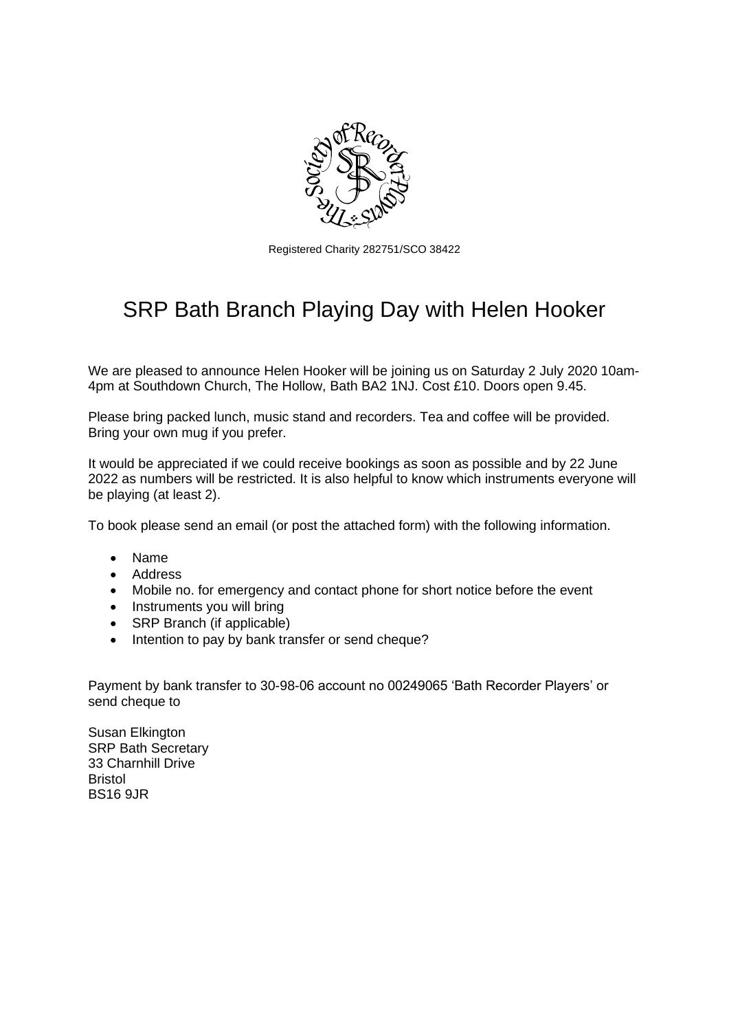

Registered Charity 282751/SCO 38422

## SRP Bath Branch Playing Day with Helen Hooker

We are pleased to announce Helen Hooker will be joining us on Saturday 2 July 2020 10am-4pm at Southdown Church, The Hollow, Bath BA2 1NJ. Cost £10. Doors open 9.45.

Please bring packed lunch, music stand and recorders. Tea and coffee will be provided. Bring your own mug if you prefer.

It would be appreciated if we could receive bookings as soon as possible and by 22 June 2022 as numbers will be restricted. It is also helpful to know which instruments everyone will be playing (at least 2).

To book please send an email (or post the attached form) with the following information.

- Name
- Address
- Mobile no. for emergency and contact phone for short notice before the event
- Instruments you will bring
- SRP Branch (if applicable)
- Intention to pay by bank transfer or send cheque?

Payment by bank transfer to 30-98-06 account no 00249065 'Bath Recorder Players' or send cheque to

Susan Elkington SRP Bath Secretary 33 Charnhill Drive Bristol BS16 9JR